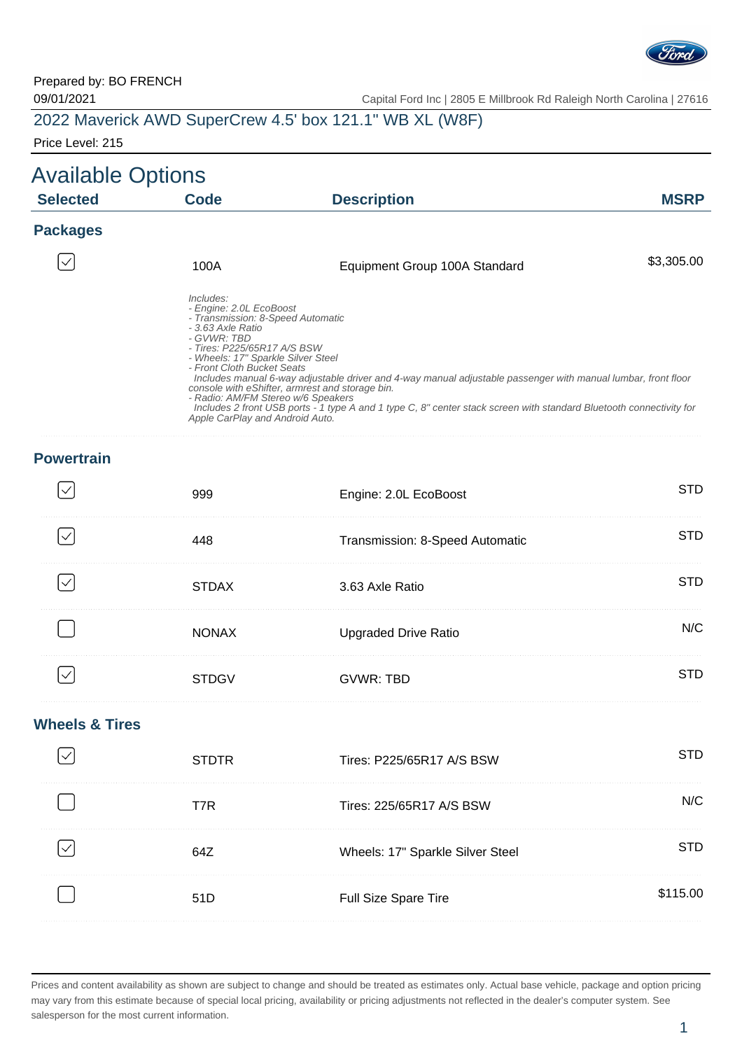

| 2022 Maverick AWD SuperCrew 4.5' box 121.1" WB XL (W8F) |  |  |
|---------------------------------------------------------|--|--|
|---------------------------------------------------------|--|--|

Price Level: 215

| <b>Available Options</b> |                                                                                                                                                                                                                                                                                           |                                                                                                                                                                                                                                                                                         |             |
|--------------------------|-------------------------------------------------------------------------------------------------------------------------------------------------------------------------------------------------------------------------------------------------------------------------------------------|-----------------------------------------------------------------------------------------------------------------------------------------------------------------------------------------------------------------------------------------------------------------------------------------|-------------|
| <b>Selected</b>          | Code                                                                                                                                                                                                                                                                                      | <b>Description</b>                                                                                                                                                                                                                                                                      | <b>MSRP</b> |
| <b>Packages</b>          |                                                                                                                                                                                                                                                                                           |                                                                                                                                                                                                                                                                                         |             |
| $\checkmark$             | 100A                                                                                                                                                                                                                                                                                      | Equipment Group 100A Standard                                                                                                                                                                                                                                                           | \$3,305.00  |
|                          | Includes:<br>- Engine: 2.0L EcoBoost<br>- Transmission: 8-Speed Automatic<br>- 3.63 Axle Ratio<br>- GVWR: TBD<br>- Tires: P225/65R17 A/S BSW<br>- Wheels: 17" Sparkle Silver Steel<br>- Front Cloth Bucket Seats<br>- Radio: AM/FM Stereo w/6 Speakers<br>Apple CarPlay and Android Auto. | Includes manual 6-way adjustable driver and 4-way manual adjustable passenger with manual lumbar, front floor<br>console with eShifter, armrest and storage bin.<br>Includes 2 front USB ports - 1 type A and 1 type C, 8" center stack screen with standard Bluetooth connectivity for |             |

### **Powertrain**

| 999          | Engine: 2.0L EcoBoost           | H)   |
|--------------|---------------------------------|------|
|              | Transmission: 8-Speed Automatic | m    |
| <b>STDAX</b> | 3.63 Axle Ratio                 |      |
| <b>NONAX</b> | <b>Upgraded Drive Ratio</b>     | N/C. |
| STDG)        | GVWR: TBD                       | m    |

#### **Wheels & Tires**

| <b>STDTR</b> | Tires: P225/65R17 A/S BSW        |       |
|--------------|----------------------------------|-------|
| T7R          | Tires: 225/65R17 A/S BSW         | JI/C. |
| 647          | Wheels: 17" Sparkle Silver Steel |       |
| 51D          | <b>Full Size Spare Tire</b>      | 15.00 |
|              |                                  |       |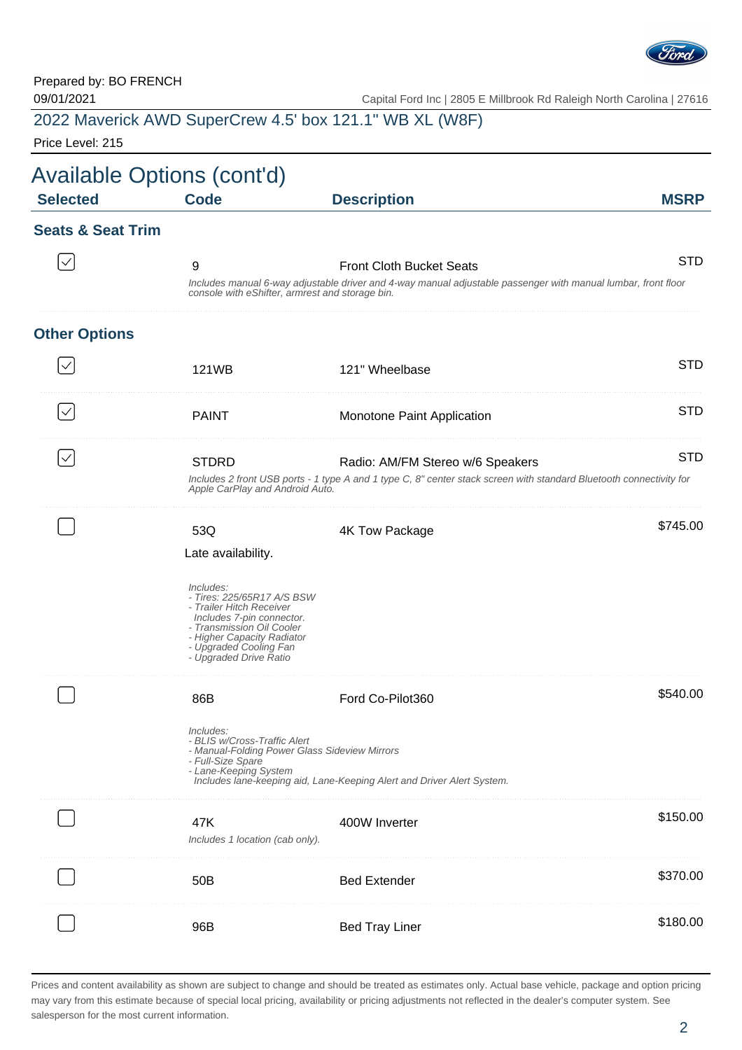

| 2022 Maverick AWD SuperCrew 4.5' box 121.1" WB XL (W8F) |  |
|---------------------------------------------------------|--|
|---------------------------------------------------------|--|

Price Level: 215

| <b>Selected</b>              | <b>Code</b>                                                                                                                                                                                                                                  | <b>Description</b>                                                                                                                                      | <b>MSRP</b> |
|------------------------------|----------------------------------------------------------------------------------------------------------------------------------------------------------------------------------------------------------------------------------------------|---------------------------------------------------------------------------------------------------------------------------------------------------------|-------------|
| <b>Seats &amp; Seat Trim</b> |                                                                                                                                                                                                                                              |                                                                                                                                                         |             |
|                              | 9<br>console with eShifter, armrest and storage bin.                                                                                                                                                                                         | <b>Front Cloth Bucket Seats</b><br>Includes manual 6-way adjustable driver and 4-way manual adjustable passenger with manual lumbar, front floor        | <b>STD</b>  |
| <b>Other Options</b>         |                                                                                                                                                                                                                                              |                                                                                                                                                         |             |
|                              | 121WB                                                                                                                                                                                                                                        | 121" Wheelbase                                                                                                                                          | <b>STD</b>  |
| $\checkmark$                 | <b>PAINT</b>                                                                                                                                                                                                                                 | Monotone Paint Application                                                                                                                              | <b>STD</b>  |
| $\checkmark$                 | <b>STDRD</b><br>Apple CarPlay and Android Auto.                                                                                                                                                                                              | Radio: AM/FM Stereo w/6 Speakers<br>Includes 2 front USB ports - 1 type A and 1 type C, 8" center stack screen with standard Bluetooth connectivity for | <b>STD</b>  |
|                              | 53Q<br>Late availability.<br>Includes:<br>- Tires: 225/65R17 A/S BSW<br>- Trailer Hitch Receiver<br>Includes 7-pin connector.<br>- Transmission Oil Cooler<br>- Higher Capacity Radiator<br>- Upgraded Cooling Fan<br>- Upgraded Drive Ratio | 4K Tow Package                                                                                                                                          | \$745.00    |
|                              | 86B<br>Includes:<br>- BLIS w/Cross-Traffic Alert<br>- Manual-Folding Power Glass Sideview Mirrors<br>- Full-Size Spare<br>- Lane-Keeping System                                                                                              | Ford Co-Pilot360<br>Includes lane-keeping aid, Lane-Keeping Alert and Driver Alert System.                                                              | \$540.00    |
|                              | 47K<br>Includes 1 location (cab only).                                                                                                                                                                                                       | 400W Inverter                                                                                                                                           | \$150.00    |
|                              | 50 <sub>B</sub>                                                                                                                                                                                                                              | <b>Bed Extender</b>                                                                                                                                     | \$370.00    |
|                              | 96B                                                                                                                                                                                                                                          | <b>Bed Tray Liner</b>                                                                                                                                   | \$180.00    |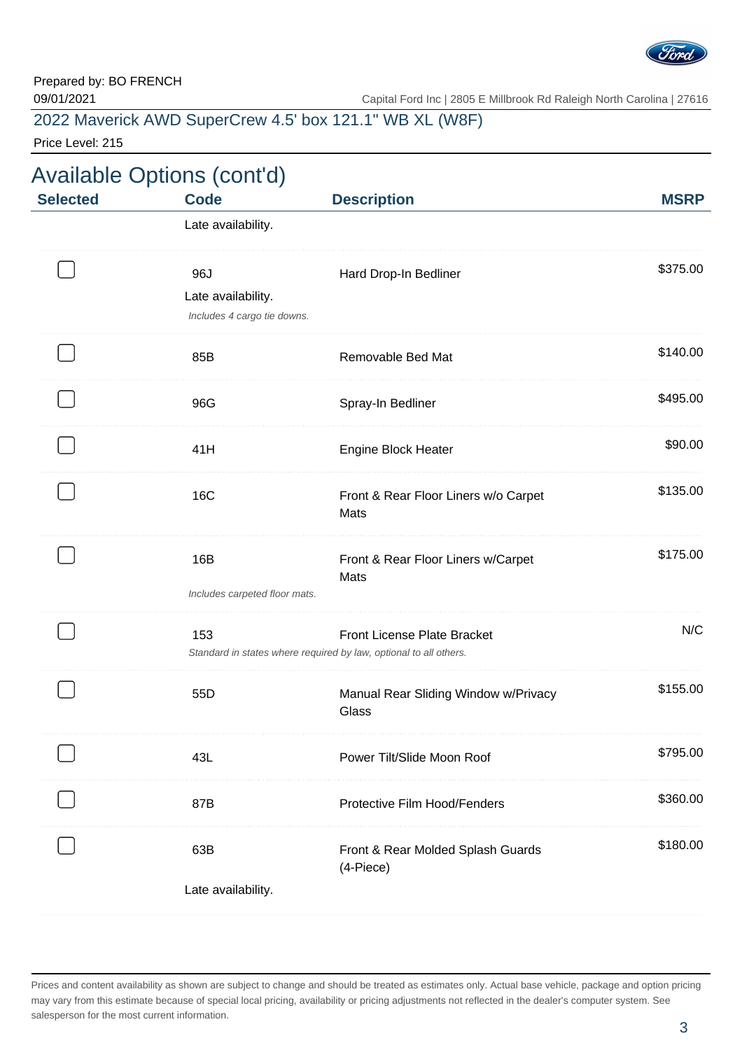

2022 Maverick AWD SuperCrew 4.5' box 121.1" WB XL (W8F)

Price Level: 215

| <b>Selected</b> | <b>Code</b>                                              | <b>Description</b>                                                                               | <b>MSRP</b> |
|-----------------|----------------------------------------------------------|--------------------------------------------------------------------------------------------------|-------------|
|                 | Late availability.                                       |                                                                                                  |             |
|                 | 96J<br>Late availability.<br>Includes 4 cargo tie downs. | Hard Drop-In Bedliner                                                                            | \$375.00    |
|                 | 85B                                                      | Removable Bed Mat                                                                                | \$140.00    |
|                 | 96G                                                      | Spray-In Bedliner                                                                                | \$495.00    |
|                 | 41H                                                      | <b>Engine Block Heater</b>                                                                       | \$90.00     |
|                 | <b>16C</b>                                               | Front & Rear Floor Liners w/o Carpet<br>Mats                                                     | \$135.00    |
|                 | 16B<br>Includes carpeted floor mats.                     | Front & Rear Floor Liners w/Carpet<br>Mats                                                       | \$175.00    |
|                 | 153                                                      | Front License Plate Bracket<br>Standard in states where required by law, optional to all others. | N/C         |
|                 | 55D                                                      | Manual Rear Sliding Window w/Privacy<br>Glass                                                    | \$155.00    |
|                 | 43L                                                      | Power Tilt/Slide Moon Roof                                                                       | \$795.00    |
|                 | 87B                                                      | Protective Film Hood/Fenders                                                                     | \$360.00    |
|                 | 63B                                                      | Front & Rear Molded Splash Guards<br>(4-Piece)                                                   | \$180.00    |
|                 | Late availability.                                       |                                                                                                  |             |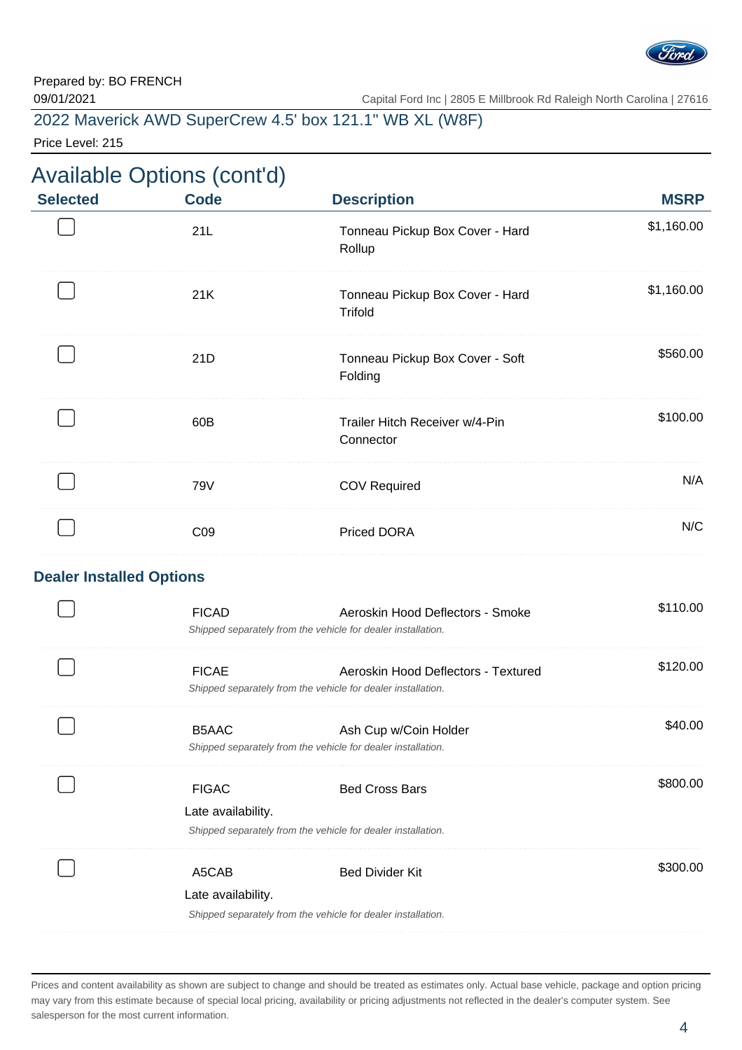

2022 Maverick AWD SuperCrew 4.5' box 121.1" WB XL (W8F)

Price Level: 215

## Available Options (cont'd)

| <b>Selected</b>                 | <b>Code</b>                        | <b>Description</b>                                                                                  | <b>MSRP</b> |
|---------------------------------|------------------------------------|-----------------------------------------------------------------------------------------------------|-------------|
|                                 | 21L                                | Tonneau Pickup Box Cover - Hard<br>Rollup                                                           | \$1,160.00  |
|                                 | 21K                                | Tonneau Pickup Box Cover - Hard<br><b>Trifold</b>                                                   | \$1,160.00  |
|                                 | 21D                                | Tonneau Pickup Box Cover - Soft<br>Folding                                                          | \$560.00    |
|                                 | 60B                                | Trailer Hitch Receiver w/4-Pin<br>Connector                                                         | \$100.00    |
|                                 | 79V                                | <b>COV Required</b>                                                                                 | N/A         |
|                                 | CO <sub>9</sub>                    | <b>Priced DORA</b>                                                                                  | N/C         |
| <b>Dealer Installed Options</b> |                                    |                                                                                                     |             |
|                                 | <b>FICAD</b>                       | Aeroskin Hood Deflectors - Smoke<br>Shipped separately from the vehicle for dealer installation.    | \$110.00    |
|                                 | <b>FICAE</b>                       | Aeroskin Hood Deflectors - Textured<br>Shipped separately from the vehicle for dealer installation. | \$120.00    |
|                                 | B5AAC                              | Ash Cup w/Coin Holder<br>Shipped separately from the vehicle for dealer installation.               | \$40.00     |
|                                 | <b>FIGAC</b><br>Late availability. | <b>Bed Cross Bars</b><br>Shipped separately from the vehicle for dealer installation.               | \$800.00    |
|                                 | A5CAB<br>Late availability.        | <b>Bed Divider Kit</b><br>Shipped separately from the vehicle for dealer installation.              | \$300.00    |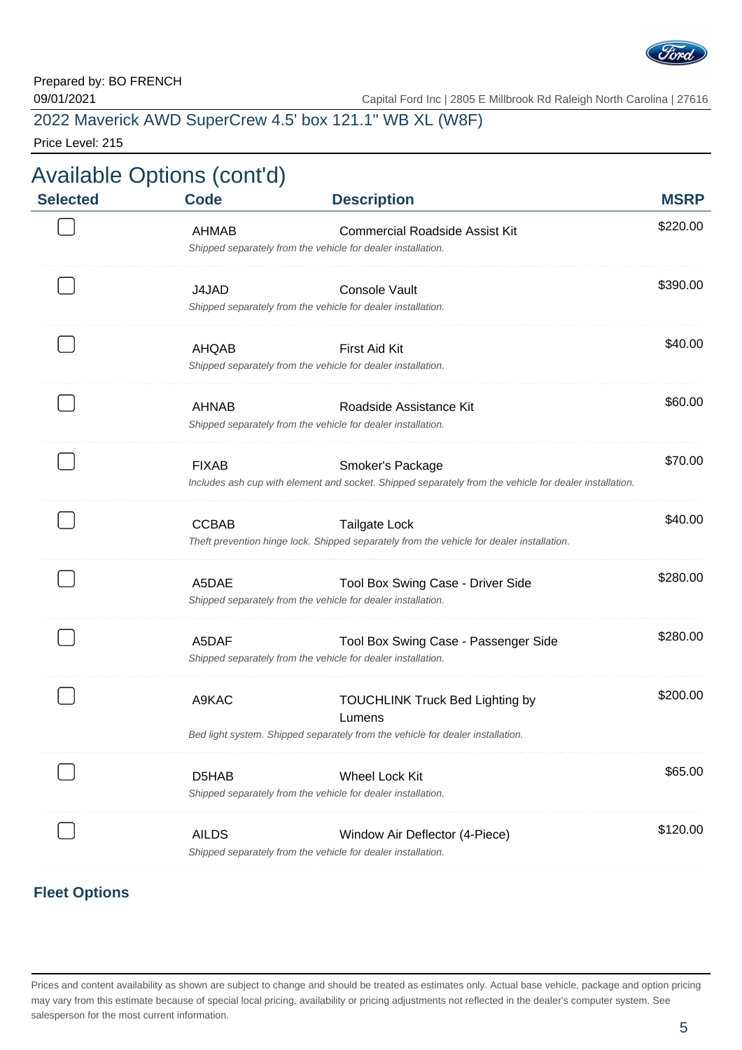

## 2022 Maverick AWD SuperCrew 4.5' box 121.1" WB XL (W8F)

Price Level: 215

| <b>MSRP</b> | <b>Description</b>                                                                                                                                             | <b>Code</b>  | <b>Selected</b> |
|-------------|----------------------------------------------------------------------------------------------------------------------------------------------------------------|--------------|-----------------|
| \$220.00    | <b>Commercial Roadside Assist Kit</b><br>Shipped separately from the vehicle for dealer installation.                                                          | AHMAB        |                 |
| \$390.00    | <b>Console Vault</b><br>Shipped separately from the vehicle for dealer installation.                                                                           | J4JAD        |                 |
| \$40.00     | <b>First Aid Kit</b><br>Shipped separately from the vehicle for dealer installation.                                                                           | AHQAB        |                 |
| \$60.00     | Roadside Assistance Kit<br>Shipped separately from the vehicle for dealer installation.                                                                        | <b>AHNAB</b> |                 |
| \$70.00     | Smoker's Package<br>Includes ash cup with element and socket. Shipped separately from the vehicle for dealer installation.                                     | <b>FIXAB</b> |                 |
| \$40.00     | <b>Tailgate Lock</b><br>Theft prevention hinge lock. Shipped separately from the vehicle for dealer installation.                                              | <b>CCBAB</b> |                 |
| \$280.00    | Tool Box Swing Case - Driver Side<br>Shipped separately from the vehicle for dealer installation.                                                              | A5DAE        |                 |
| \$280.00    | Tool Box Swing Case - Passenger Side<br>Shipped separately from the vehicle for dealer installation.                                                           | A5DAF        |                 |
| \$200.00    | <b>TOUCHLINK Truck Bed Lighting by</b><br>Lumens                                                                                                               | A9KAC        |                 |
| \$65.00     | Bed light system. Shipped separately from the vehicle for dealer installation.<br>Wheel Lock Kit                                                               | D5HAB        |                 |
| \$120.00    | Shipped separately from the vehicle for dealer installation.<br>Window Air Deflector (4-Piece)<br>Shipped separately from the vehicle for dealer installation. | <b>AILDS</b> |                 |

### **Fleet Options**